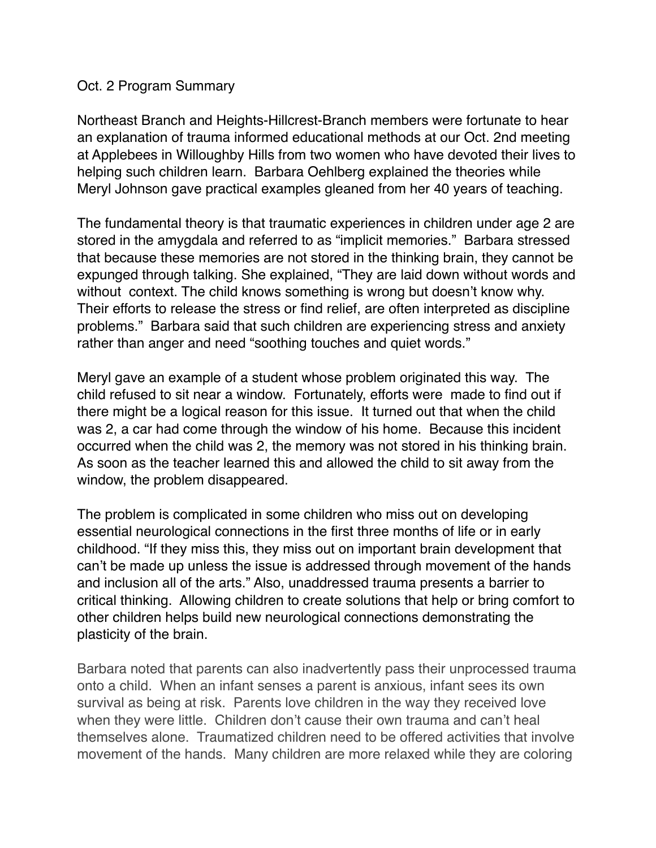## Oct. 2 Program Summary

Northeast Branch and Heights-Hillcrest-Branch members were fortunate to hear an explanation of trauma informed educational methods at our Oct. 2nd meeting at Applebees in Willoughby Hills from two women who have devoted their lives to helping such children learn. Barbara Oehlberg explained the theories while Meryl Johnson gave practical examples gleaned from her 40 years of teaching.

The fundamental theory is that traumatic experiences in children under age 2 are stored in the amygdala and referred to as "implicit memories." Barbara stressed that because these memories are not stored in the thinking brain, they cannot be expunged through talking. She explained, "They are laid down without words and without context. The child knows something is wrong but doesn't know why. Their efforts to release the stress or find relief, are often interpreted as discipline problems." Barbara said that such children are experiencing stress and anxiety rather than anger and need "soothing touches and quiet words."

Meryl gave an example of a student whose problem originated this way. The child refused to sit near a window. Fortunately, efforts were made to find out if there might be a logical reason for this issue. It turned out that when the child was 2, a car had come through the window of his home. Because this incident occurred when the child was 2, the memory was not stored in his thinking brain. As soon as the teacher learned this and allowed the child to sit away from the window, the problem disappeared.

The problem is complicated in some children who miss out on developing essential neurological connections in the first three months of life or in early childhood. "If they miss this, they miss out on important brain development that can't be made up unless the issue is addressed through movement of the hands and inclusion all of the arts." Also, unaddressed trauma presents a barrier to critical thinking. Allowing children to create solutions that help or bring comfort to other children helps build new neurological connections demonstrating the plasticity of the brain.

Barbara noted that parents can also inadvertently pass their unprocessed trauma onto a child. When an infant senses a parent is anxious, infant sees its own survival as being at risk. Parents love children in the way they received love when they were little. Children don't cause their own trauma and can't heal themselves alone. Traumatized children need to be offered activities that involve movement of the hands. Many children are more relaxed while they are coloring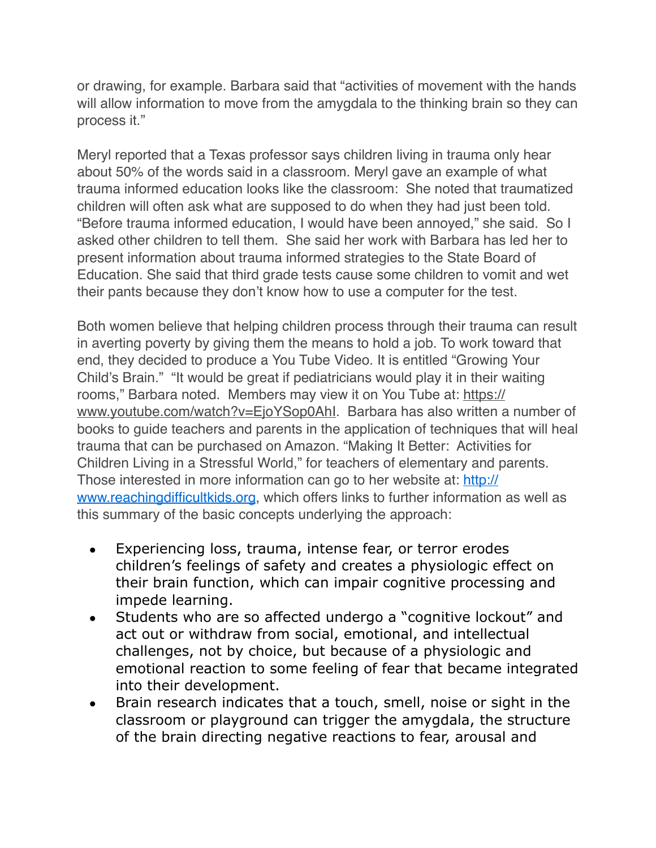or drawing, for example. Barbara said that "activities of movement with the hands will allow information to move from the amygdala to the thinking brain so they can process it."

Meryl reported that a Texas professor says children living in trauma only hear about 50% of the words said in a classroom. Meryl gave an example of what trauma informed education looks like the classroom: She noted that traumatized children will often ask what are supposed to do when they had just been told. "Before trauma informed education, I would have been annoyed," she said. So I asked other children to tell them. She said her work with Barbara has led her to present information about trauma informed strategies to the State Board of Education. She said that third grade tests cause some children to vomit and wet their pants because they don't know how to use a computer for the test.

Both women believe that helping children process through their trauma can result in averting poverty by giving them the means to hold a job. To work toward that end, they decided to produce a You Tube Video. It is entitled "Growing Your Child's Brain." "It would be great if pediatricians would play it in their waiting rooms," Barbara noted. Members may view it on You Tube at: [https://](https://www.youtube.com/watch?v=EjoYSop0AhI) www.youtube.com/watch?v=EjoYSop0Ahl. Barbara has also written a number of books to guide teachers and parents in the application of techniques that will heal trauma that can be purchased on Amazon. "Making It Better: Activities for Children Living in a Stressful World," for teachers of elementary and parents. Those interested in more information can go to her website at: [http://](http://www.reachingdifficultkids.org/) [www.reachingdifficultkids.org,](http://www.reachingdifficultkids.org/) which offers links to further information as well as this summary of the basic concepts underlying the approach:

- Experiencing loss, trauma, intense fear, or terror erodes children's feelings of safety and creates a physiologic effect on their brain function, which can impair cognitive processing and impede learning.
- Students who are so affected undergo a "cognitive lockout" and act out or withdraw from social, emotional, and intellectual challenges, not by choice, but because of a physiologic and emotional reaction to some feeling of fear that became integrated into their development.
- Brain research indicates that a touch, smell, noise or sight in the classroom or playground can trigger the amygdala, the structure of the brain directing negative reactions to fear, arousal and